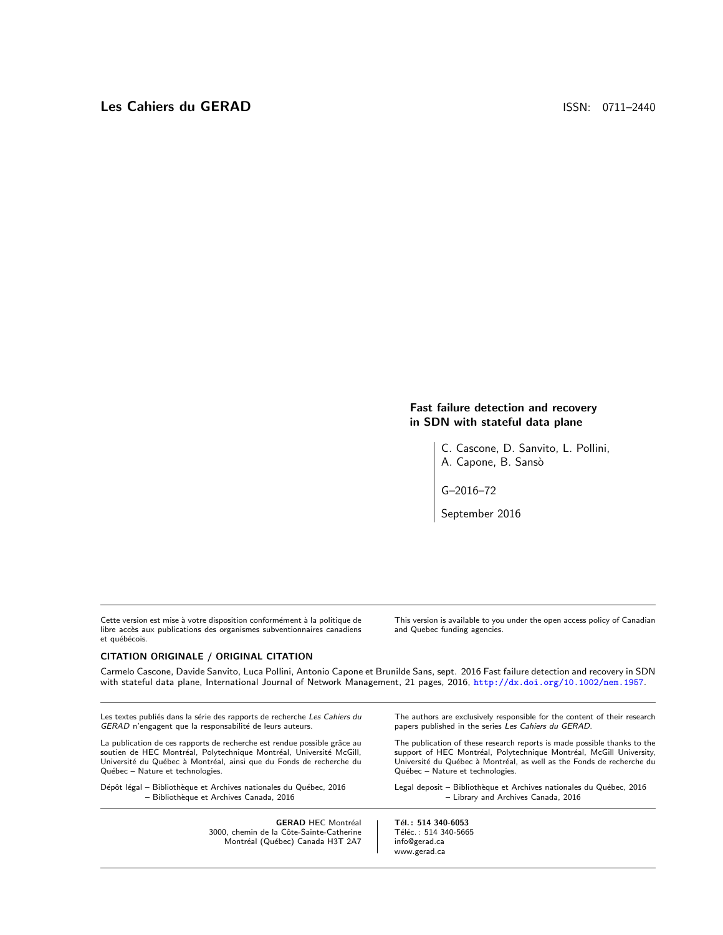#### <span id="page-0-0"></span>Fast failure detection and recovery in SDN with stateful data plane

C. Cascone, D. Sanvito, L. Pollini, A. Capone, B. Sansò

G–2016–72

September 2016

Cette version est mise à votre disposition conformément à la politique de libre accès aux publications des organismes subventionnaires canadiens et québécois.

#### CITATION ORIGINALE / ORIGINAL CITATION

This version is available to you under the open access policy of Canadian and Quebec funding agencies.

Carmelo Cascone, Davide Sanvito, Luca Pollini, Antonio Capone et Brunilde Sans, sept. 2016 Fast failure detection and recovery in SDN with stateful data plane, International Journal of Network Management, 21 pages, 2016, <http://dx.doi.org/10.1002/nem.1957>.

Les textes publiés dans la série des rapports de recherche Les Cahiers du GERAD n'engagent que la responsabilité de leurs auteurs.

La publication de ces rapports de recherche est rendue possible grâce au soutien de HEC Montréal, Polytechnique Montréal, Université McGill, Université du Québec à Montréal, ainsi que du Fonds de recherche du Québec – Nature et technologies.

Dépôt légal – Bibliothèque et Archives nationales du Québec, 2016 – Biblioth`eque et Archives Canada, 2016

> **GERAD HEC Montréal** 3000, chemin de la Côte-Sainte-Catherine Montréal (Québec) Canada H3T 2A7

The authors are exclusively responsible for the content of their research papers published in the series Les Cahiers du GERAD.

The publication of these research reports is made possible thanks to the support of HEC Montréal, Polytechnique Montréal, McGill University, Université du Québec à Montréal, as well as the Fonds de recherche du Québec – Nature et technologies.

Legal deposit - Bibliothèque et Archives nationales du Québec, 2016 – Library and Archives Canada, 2016

Tél.: 514 340-6053 Téléc.: 514 340-5665 info@gerad.ca www.gerad.ca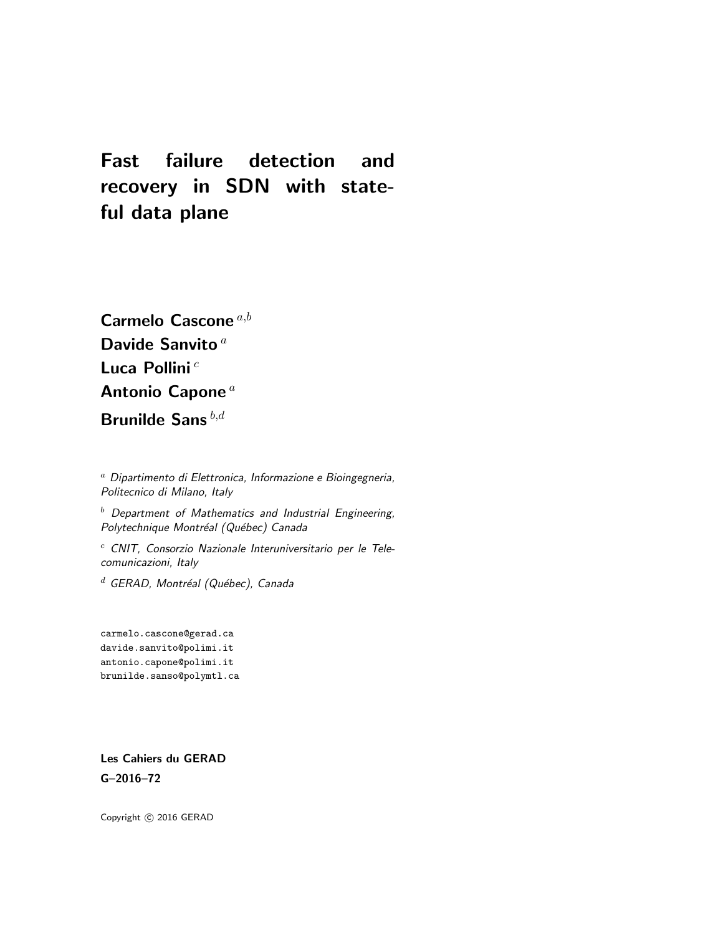# Fast failure detection and recovery in SDN with stateful data plane

Carmelo Cascone  $a,b$ Davide Sanvito<sup>a</sup> Luca Pollini $<sup>c</sup>$ </sup> Antonio Capone<sup>a</sup> Brunilde Sans  $^{b,d}$ 

 $a$  Dipartimento di Elettronica, Informazione e Bioingegneria, Politecnico di Milano, Italy

 $<sup>b</sup>$  Department of Mathematics and Industrial Engineering,</sup> Polytechnique Montréal (Québec) Canada

 $c$  CNIT, Consorzio Nazionale Interuniversitario per le Telecomunicazioni, Italy

 $d$  GERAD, Montréal (Québec), Canada

carmelo.cascone@gerad.ca davide.sanvito@polimi.it antonio.capone@polimi.it brunilde.sanso@polymtl.ca

Les Cahiers du GERAD G–2016–72

Copyright  $\odot$  2016 GERAD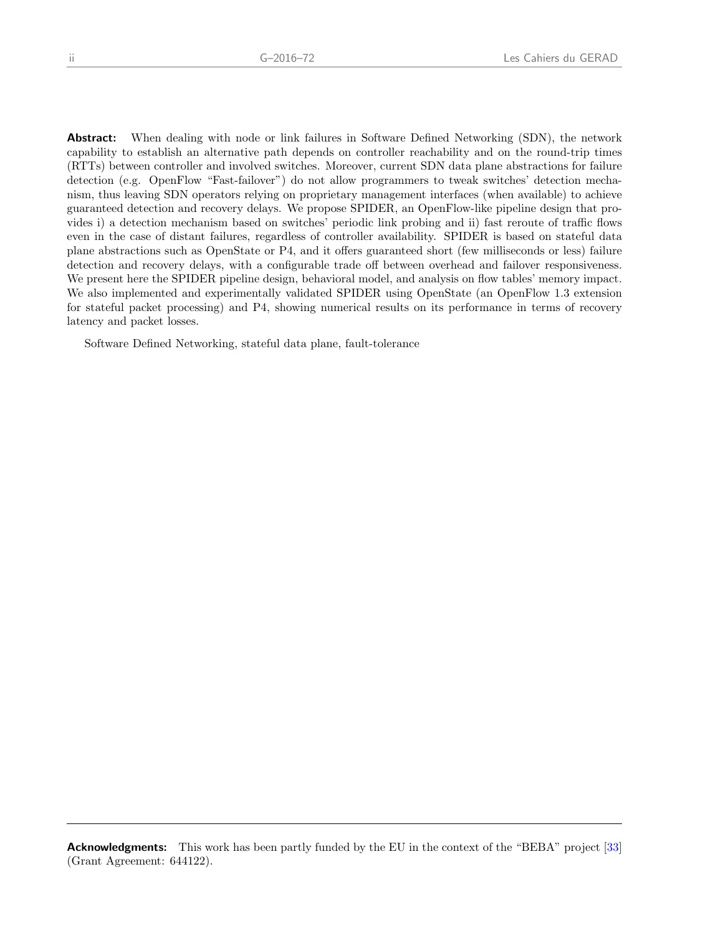Abstract: When dealing with node or link failures in Software Defined Networking (SDN), the network capability to establish an alternative path depends on controller reachability and on the round-trip times (RTTs) between controller and involved switches. Moreover, current SDN data plane abstractions for failure detection (e.g. OpenFlow "Fast-failover") do not allow programmers to tweak switches' detection mechanism, thus leaving SDN operators relying on proprietary management interfaces (when available) to achieve guaranteed detection and recovery delays. We propose SPIDER, an OpenFlow-like pipeline design that provides i) a detection mechanism based on switches' periodic link probing and ii) fast reroute of traffic flows even in the case of distant failures, regardless of controller availability. SPIDER is based on stateful data plane abstractions such as OpenState or P4, and it offers guaranteed short (few milliseconds or less) failure detection and recovery delays, with a configurable trade off between overhead and failover responsiveness. We present here the SPIDER pipeline design, behavioral model, and analysis on flow tables' memory impact. We also implemented and experimentally validated SPIDER using OpenState (an OpenFlow 1.3 extension for stateful packet processing) and P4, showing numerical results on its performance in terms of recovery latency and packet losses.

Software Defined Networking, stateful data plane, fault-tolerance

**Acknowledgments:** This work has been partly funded by the EU in the context of the "BEBA" project [\[33\]](#page-20-0) (Grant Agreement: 644122).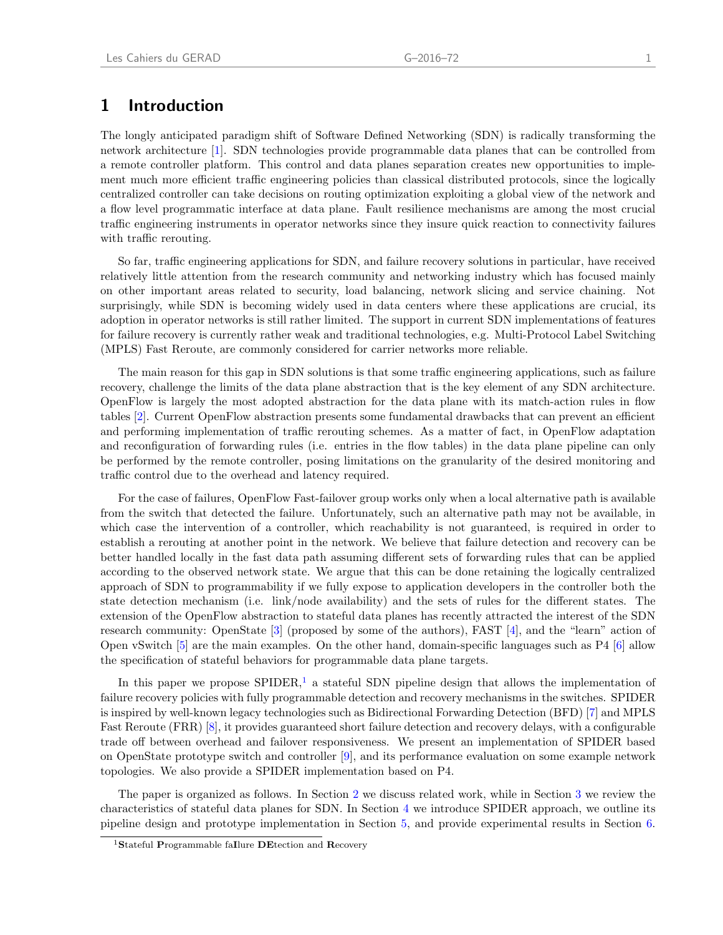### 1 Introduction

The longly anticipated paradigm shift of Software Defined Networking (SDN) is radically transforming the network architecture [\[1\]](#page-18-0). SDN technologies provide programmable data planes that can be controlled from a remote controller platform. This control and data planes separation creates new opportunities to implement much more efficient traffic engineering policies than classical distributed protocols, since the logically centralized controller can take decisions on routing optimization exploiting a global view of the network and a flow level programmatic interface at data plane. Fault resilience mechanisms are among the most crucial traffic engineering instruments in operator networks since they insure quick reaction to connectivity failures with traffic rerouting.

So far, traffic engineering applications for SDN, and failure recovery solutions in particular, have received relatively little attention from the research community and networking industry which has focused mainly on other important areas related to security, load balancing, network slicing and service chaining. Not surprisingly, while SDN is becoming widely used in data centers where these applications are crucial, its adoption in operator networks is still rather limited. The support in current SDN implementations of features for failure recovery is currently rather weak and traditional technologies, e.g. Multi-Protocol Label Switching (MPLS) Fast Reroute, are commonly considered for carrier networks more reliable.

The main reason for this gap in SDN solutions is that some traffic engineering applications, such as failure recovery, challenge the limits of the data plane abstraction that is the key element of any SDN architecture. OpenFlow is largely the most adopted abstraction for the data plane with its match-action rules in flow tables [\[2\]](#page-18-1). Current OpenFlow abstraction presents some fundamental drawbacks that can prevent an efficient and performing implementation of traffic rerouting schemes. As a matter of fact, in OpenFlow adaptation and reconfiguration of forwarding rules (i.e. entries in the flow tables) in the data plane pipeline can only be performed by the remote controller, posing limitations on the granularity of the desired monitoring and traffic control due to the overhead and latency required.

For the case of failures, OpenFlow Fast-failover group works only when a local alternative path is available from the switch that detected the failure. Unfortunately, such an alternative path may not be available, in which case the intervention of a controller, which reachability is not guaranteed, is required in order to establish a rerouting at another point in the network. We believe that failure detection and recovery can be better handled locally in the fast data path assuming different sets of forwarding rules that can be applied according to the observed network state. We argue that this can be done retaining the logically centralized approach of SDN to programmability if we fully expose to application developers in the controller both the state detection mechanism (i.e. link/node availability) and the sets of rules for the different states. The extension of the OpenFlow abstraction to stateful data planes has recently attracted the interest of the SDN research community: OpenState [\[3\]](#page-18-2) (proposed by some of the authors), FAST [\[4\]](#page-19-0), and the "learn" action of Open vSwitch  $[5]$  are the main examples. On the other hand, domain-specific languages such as P4  $[6]$  allow the specification of stateful behaviors for programmable data plane targets.

In this paper we propose  $SPIDER<sup>1</sup>$  $SPIDER<sup>1</sup>$  $SPIDER<sup>1</sup>$  a stateful SDN pipeline design that allows the implementation of failure recovery policies with fully programmable detection and recovery mechanisms in the switches. SPIDER is inspired by well-known legacy technologies such as Bidirectional Forwarding Detection (BFD) [\[7\]](#page-19-3) and MPLS Fast Reroute (FRR) [\[8\]](#page-19-4), it provides guaranteed short failure detection and recovery delays, with a configurable trade off between overhead and failover responsiveness. We present an implementation of SPIDER based on OpenState prototype switch and controller [\[9\]](#page-19-5), and its performance evaluation on some example network topologies. We also provide a SPIDER implementation based on P4.

The paper is organized as follows. In Section [2](#page-5-0) we discuss related work, while in Section [3](#page-5-1) we review the characteristics of stateful data planes for SDN. In Section [4](#page-6-0) we introduce SPIDER approach, we outline its pipeline design and prototype implementation in Section [5,](#page-8-0) and provide experimental results in Section [6.](#page-12-0)

<span id="page-4-0"></span><sup>&</sup>lt;sup>1</sup>Stateful Programmable faIlure DEtection and Recovery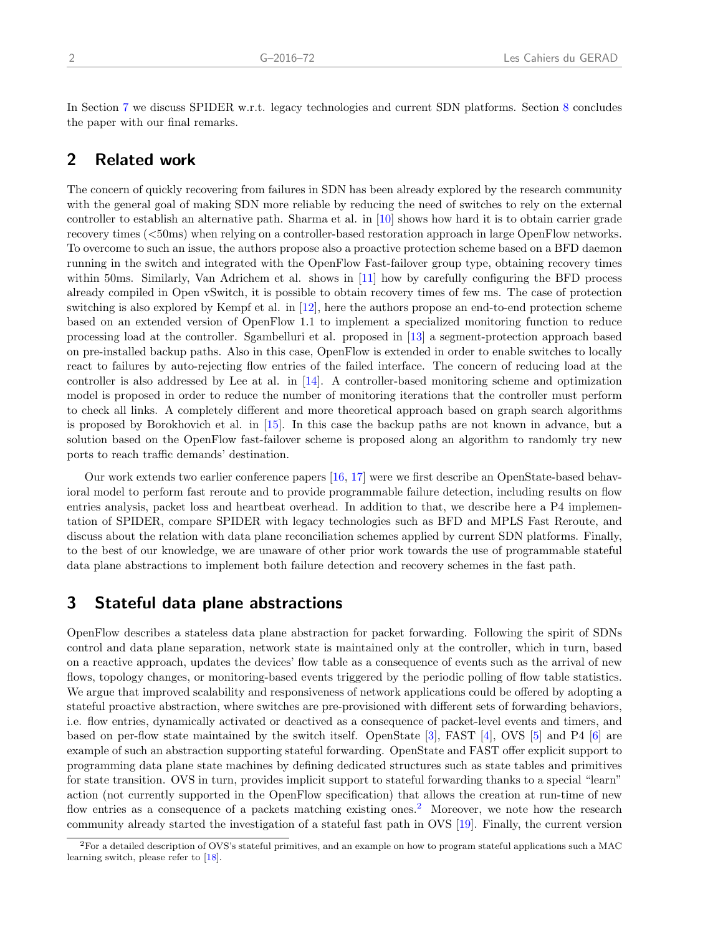In Section [7](#page-15-0) we discuss SPIDER w.r.t. legacy technologies and current SDN platforms. Section [8](#page-18-3) concludes the paper with our final remarks.

### <span id="page-5-0"></span>2 Related work

The concern of quickly recovering from failures in SDN has been already explored by the research community with the general goal of making SDN more reliable by reducing the need of switches to rely on the external controller to establish an alternative path. Sharma et al. in [\[10\]](#page-19-6) shows how hard it is to obtain carrier grade recovery times (<50ms) when relying on a controller-based restoration approach in large OpenFlow networks. To overcome to such an issue, the authors propose also a proactive protection scheme based on a BFD daemon running in the switch and integrated with the OpenFlow Fast-failover group type, obtaining recovery times within 50ms. Similarly, Van Adrichem et al. shows in [\[11\]](#page-19-7) how by carefully configuring the BFD process already compiled in Open vSwitch, it is possible to obtain recovery times of few ms. The case of protection switching is also explored by Kempf et al. in [\[12\]](#page-19-8), here the authors propose an end-to-end protection scheme based on an extended version of OpenFlow 1.1 to implement a specialized monitoring function to reduce processing load at the controller. Sgambelluri et al. proposed in [\[13\]](#page-19-9) a segment-protection approach based on pre-installed backup paths. Also in this case, OpenFlow is extended in order to enable switches to locally react to failures by auto-rejecting flow entries of the failed interface. The concern of reducing load at the controller is also addressed by Lee at al. in [\[14\]](#page-19-10). A controller-based monitoring scheme and optimization model is proposed in order to reduce the number of monitoring iterations that the controller must perform to check all links. A completely different and more theoretical approach based on graph search algorithms is proposed by Borokhovich et al. in [\[15\]](#page-19-11). In this case the backup paths are not known in advance, but a solution based on the OpenFlow fast-failover scheme is proposed along an algorithm to randomly try new ports to reach traffic demands' destination.

Our work extends two earlier conference papers [\[16,](#page-19-12) [17\]](#page-19-13) were we first describe an OpenState-based behavioral model to perform fast reroute and to provide programmable failure detection, including results on flow entries analysis, packet loss and heartbeat overhead. In addition to that, we describe here a P4 implementation of SPIDER, compare SPIDER with legacy technologies such as BFD and MPLS Fast Reroute, and discuss about the relation with data plane reconciliation schemes applied by current SDN platforms. Finally, to the best of our knowledge, we are unaware of other prior work towards the use of programmable stateful data plane abstractions to implement both failure detection and recovery schemes in the fast path.

### <span id="page-5-1"></span>3 Stateful data plane abstractions

OpenFlow describes a stateless data plane abstraction for packet forwarding. Following the spirit of SDNs control and data plane separation, network state is maintained only at the controller, which in turn, based on a reactive approach, updates the devices' flow table as a consequence of events such as the arrival of new flows, topology changes, or monitoring-based events triggered by the periodic polling of flow table statistics. We argue that improved scalability and responsiveness of network applications could be offered by adopting a stateful proactive abstraction, where switches are pre-provisioned with different sets of forwarding behaviors, i.e. flow entries, dynamically activated or deactived as a consequence of packet-level events and timers, and based on per-flow state maintained by the switch itself. OpenState [\[3\]](#page-18-2), FAST [\[4\]](#page-19-0), OVS [\[5\]](#page-19-1) and P4 [\[6\]](#page-19-2) are example of such an abstraction supporting stateful forwarding. OpenState and FAST offer explicit support to programming data plane state machines by defining dedicated structures such as state tables and primitives for state transition. OVS in turn, provides implicit support to stateful forwarding thanks to a special "learn" action (not currently supported in the OpenFlow specification) that allows the creation at run-time of new flow entries as a consequence of a packets matching existing ones.<sup>[2](#page-5-2)</sup> Moreover, we note how the research community already started the investigation of a stateful fast path in OVS [\[19\]](#page-19-14). Finally, the current version

<span id="page-5-2"></span> ${}^{2}$  For a detailed description of OVS's stateful primitives, and an example on how to program stateful applications such a MAC learning switch, please refer to [\[18\]](#page-19-15).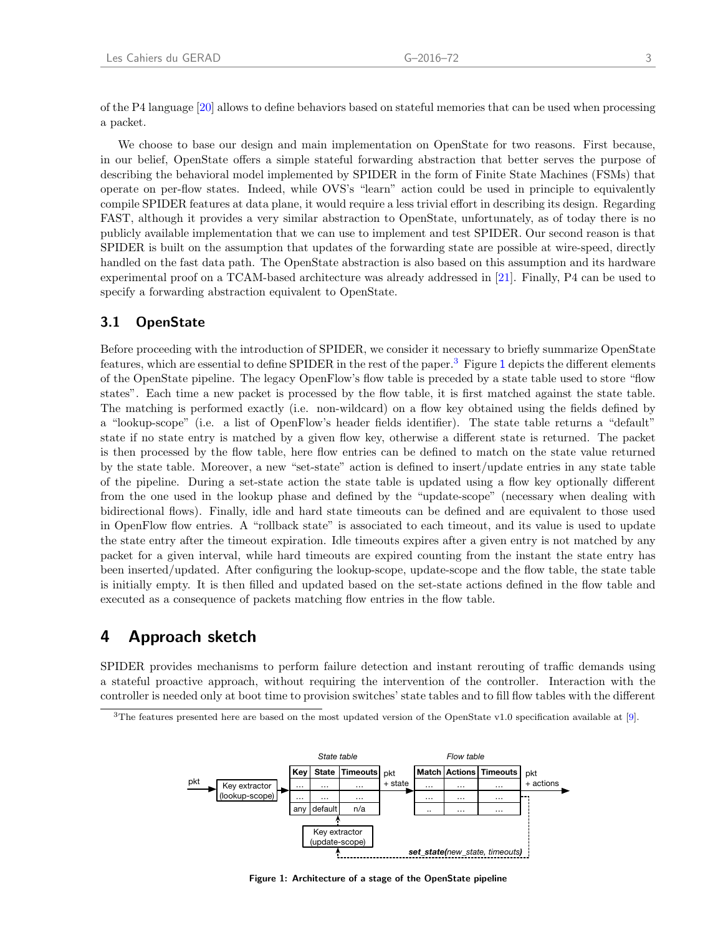of the P4 language [\[20\]](#page-19-16) allows to define behaviors based on stateful memories that can be used when processing a packet.

We choose to base our design and main implementation on OpenState for two reasons. First because, in our belief, OpenState offers a simple stateful forwarding abstraction that better serves the purpose of describing the behavioral model implemented by SPIDER in the form of Finite State Machines (FSMs) that operate on per-flow states. Indeed, while OVS's "learn" action could be used in principle to equivalently compile SPIDER features at data plane, it would require a less trivial effort in describing its design. Regarding FAST, although it provides a very similar abstraction to OpenState, unfortunately, as of today there is no publicly available implementation that we can use to implement and test SPIDER. Our second reason is that SPIDER is built on the assumption that updates of the forwarding state are possible at wire-speed, directly handled on the fast data path. The OpenState abstraction is also based on this assumption and its hardware experimental proof on a TCAM-based architecture was already addressed in [\[21\]](#page-19-17). Finally, P4 can be used to specify a forwarding abstraction equivalent to OpenState.

#### 3.1 OpenState

Before proceeding with the introduction of SPIDER, we consider it necessary to briefly summarize OpenState features, which are essential to define SPIDER in the rest of the paper.[3](#page-6-1) Figure [1](#page-6-2) depicts the different elements of the OpenState pipeline. The legacy OpenFlow's flow table is preceded by a state table used to store "flow states". Each time a new packet is processed by the flow table, it is first matched against the state table. The matching is performed exactly (i.e. non-wildcard) on a flow key obtained using the fields defined by a "lookup-scope" (i.e. a list of OpenFlow's header fields identifier). The state table returns a "default" state if no state entry is matched by a given flow key, otherwise a different state is returned. The packet is then processed by the flow table, here flow entries can be defined to match on the state value returned by the state table. Moreover, a new "set-state" action is defined to insert/update entries in any state table of the pipeline. During a set-state action the state table is updated using a flow key optionally different from the one used in the lookup phase and defined by the "update-scope" (necessary when dealing with bidirectional flows). Finally, idle and hard state timeouts can be defined and are equivalent to those used in OpenFlow flow entries. A "rollback state" is associated to each timeout, and its value is used to update the state entry after the timeout expiration. Idle timeouts expires after a given entry is not matched by any packet for a given interval, while hard timeouts are expired counting from the instant the state entry has been inserted/updated. After configuring the lookup-scope, update-scope and the flow table, the state table is initially empty. It is then filled and updated based on the set-state actions defined in the flow table and executed as a consequence of packets matching flow entries in the flow table.

### <span id="page-6-0"></span>4 Approach sketch

SPIDER provides mechanisms to perform failure detection and instant rerouting of traffic demands using a stateful proactive approach, without requiring the intervention of the controller. Interaction with the controller is needed only at boot time to provision switches' state tables and to fill flow tables with the different

<span id="page-6-2"></span><span id="page-6-1"></span> $3$ The features presented here are based on the most updated version of the OpenState v1.0 specification available at [\[9\]](#page-19-5).



Figure 1: Architecture of a stage of the OpenState pipeline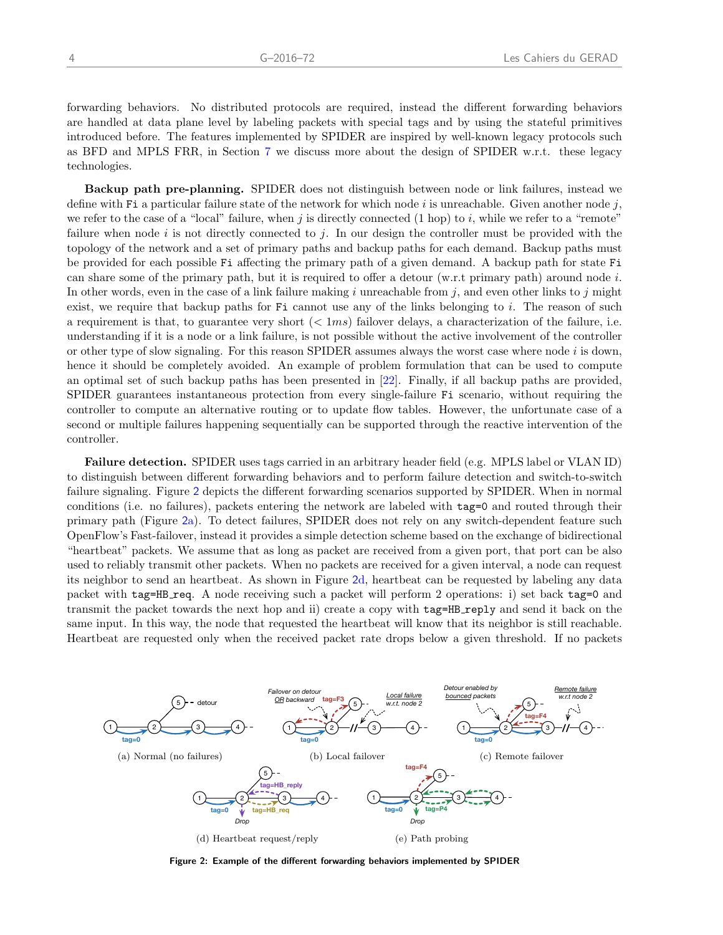forwarding behaviors. No distributed protocols are required, instead the different forwarding behaviors are handled at data plane level by labeling packets with special tags and by using the stateful primitives introduced before. The features implemented by SPIDER are inspired by well-known legacy protocols such as BFD and MPLS FRR, in Section [7](#page-15-0) we discuss more about the design of SPIDER w.r.t. these legacy technologies.

Backup path pre-planning. SPIDER does not distinguish between node or link failures, instead we define with Fi a particular failure state of the network for which node i is unreachable. Given another node j, we refer to the case of a "local" failure, when j is directly connected  $(1$  hop) to i, while we refer to a "remote" failure when node i is not directly connected to j. In our design the controller must be provided with the topology of the network and a set of primary paths and backup paths for each demand. Backup paths must be provided for each possible Fi affecting the primary path of a given demand. A backup path for state Fi can share some of the primary path, but it is required to offer a detour (w.r.t primary path) around node i. In other words, even in the case of a link failure making i unreachable from j, and even other links to j might exist, we require that backup paths for Fi cannot use any of the links belonging to i. The reason of such a requirement is that, to guarantee very short  $(< 1ms)$  failover delays, a characterization of the failure, i.e. understanding if it is a node or a link failure, is not possible without the active involvement of the controller or other type of slow signaling. For this reason SPIDER assumes always the worst case where node  $i$  is down, hence it should be completely avoided. An example of problem formulation that can be used to compute an optimal set of such backup paths has been presented in [\[22\]](#page-19-18). Finally, if all backup paths are provided, SPIDER guarantees instantaneous protection from every single-failure Fi scenario, without requiring the controller to compute an alternative routing or to update flow tables. However, the unfortunate case of a second or multiple failures happening sequentially can be supported through the reactive intervention of the controller.

Failure detection. SPIDER uses tags carried in an arbitrary header field (e.g. MPLS label or VLAN ID) to distinguish between different forwarding behaviors and to perform failure detection and switch-to-switch failure signaling. Figure [2](#page-7-0) depicts the different forwarding scenarios supported by SPIDER. When in normal conditions (i.e. no failures), packets entering the network are labeled with tag=0 and routed through their primary path (Figure 2[a\)](#page-0-0). To detect failures, SPIDER does not rely on any switch-dependent feature such OpenFlow's Fast-failover, instead it provides a simple detection scheme based on the exchange of bidirectional "heartbeat" packets. We assume that as long as packet are received from a given port, that port can be also used to reliably transmit other packets. When no packets are received for a given interval, a node can request its neighbor to send an heartbeat. As shown in Figure 2[d,](#page-0-0) heartbeat can be requested by labeling any data packet with tag=HB req. A node receiving such a packet will perform 2 operations: i) set back tag=0 and transmit the packet towards the next hop and ii) create a copy with tag=HB reply and send it back on the same input. In this way, the node that requested the heartbeat will know that its neighbor is still reachable. Heartbeat are requested only when the received packet rate drops below a given threshold. If no packets

<span id="page-7-0"></span>

Figure 2: Example of the different forwarding behaviors implemented by SPIDER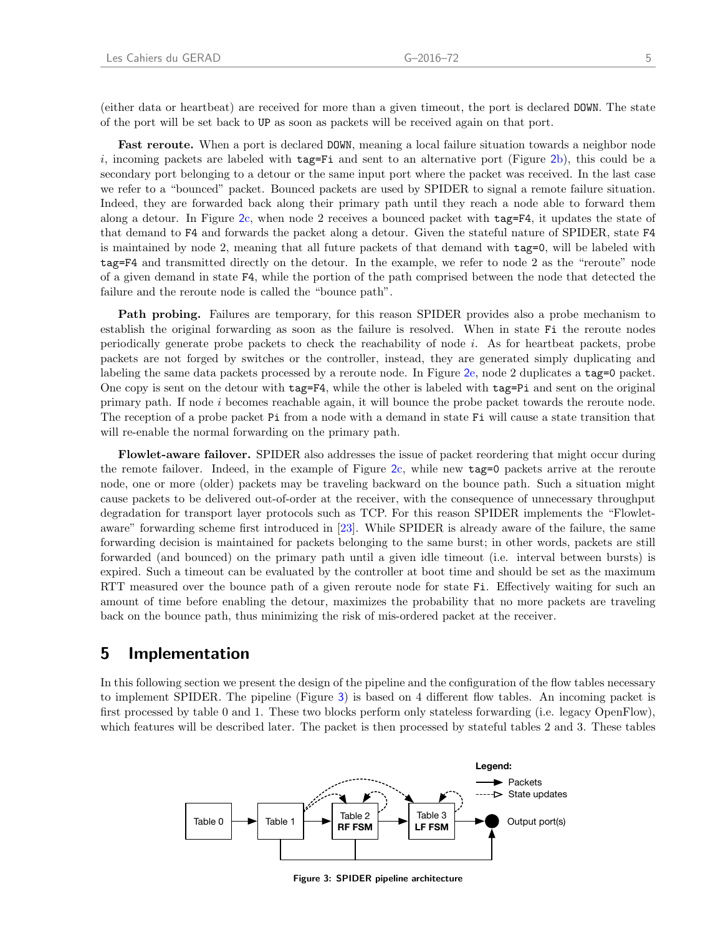(either data or heartbeat) are received for more than a given timeout, the port is declared DOWN. The state of the port will be set back to UP as soon as packets will be received again on that port.

Fast reroute. When a port is declared DOWN, meaning a local failure situation towards a neighbor node i, incoming packets are labeled with  $tag=Fi$  and sent to an alternative port (Figure 2[b\)](#page-0-0), this could be a secondary port belonging to a detour or the same input port where the packet was received. In the last case we refer to a "bounced" packet. Bounced packets are used by SPIDER to signal a remote failure situation. Indeed, they are forwarded back along their primary path until they reach a node able to forward them along a detour. In Figure 2[c,](#page-0-0) when node 2 receives a bounced packet with tag=F4, it updates the state of that demand to F4 and forwards the packet along a detour. Given the stateful nature of SPIDER, state F4 is maintained by node 2, meaning that all future packets of that demand with tag=0, will be labeled with tag=F4 and transmitted directly on the detour. In the example, we refer to node 2 as the "reroute" node of a given demand in state F4, while the portion of the path comprised between the node that detected the failure and the reroute node is called the "bounce path".

Path probing. Failures are temporary, for this reason SPIDER provides also a probe mechanism to establish the original forwarding as soon as the failure is resolved. When in state Fi the reroute nodes periodically generate probe packets to check the reachability of node i. As for heartbeat packets, probe packets are not forged by switches or the controller, instead, they are generated simply duplicating and labeling the same data packets processed by a reroute node. In Figure [2](#page-0-0)e, node 2 duplicates a tag=0 packet. One copy is sent on the detour with  $tag=F4$ , while the other is labeled with  $tag=F1$  and sent on the original primary path. If node i becomes reachable again, it will bounce the probe packet towards the reroute node. The reception of a probe packet Pi from a node with a demand in state Fi will cause a state transition that will re-enable the normal forwarding on the primary path.

Flowlet-aware failover. SPIDER also addresses the issue of packet reordering that might occur during the remote failover. Indeed, in the example of Figure 2[c,](#page-0-0) while new tag=0 packets arrive at the reroute node, one or more (older) packets may be traveling backward on the bounce path. Such a situation might cause packets to be delivered out-of-order at the receiver, with the consequence of unnecessary throughput degradation for transport layer protocols such as TCP. For this reason SPIDER implements the "Flowletaware" forwarding scheme first introduced in [\[23\]](#page-19-19). While SPIDER is already aware of the failure, the same forwarding decision is maintained for packets belonging to the same burst; in other words, packets are still forwarded (and bounced) on the primary path until a given idle timeout (i.e. interval between bursts) is expired. Such a timeout can be evaluated by the controller at boot time and should be set as the maximum RTT measured over the bounce path of a given reroute node for state Fi. Effectively waiting for such an amount of time before enabling the detour, maximizes the probability that no more packets are traveling back on the bounce path, thus minimizing the risk of mis-ordered packet at the receiver.

### <span id="page-8-0"></span>5 Implementation

<span id="page-8-1"></span>In this following section we present the design of the pipeline and the configuration of the flow tables necessary to implement SPIDER. The pipeline (Figure [3](#page-8-1)) is based on 4 different flow tables. An incoming packet is first processed by table 0 and 1. These two blocks perform only stateless forwarding (i.e. legacy OpenFlow), which features will be described later. The packet is then processed by stateful tables 2 and 3. These tables



Figure 3: SPIDER pipeline architecture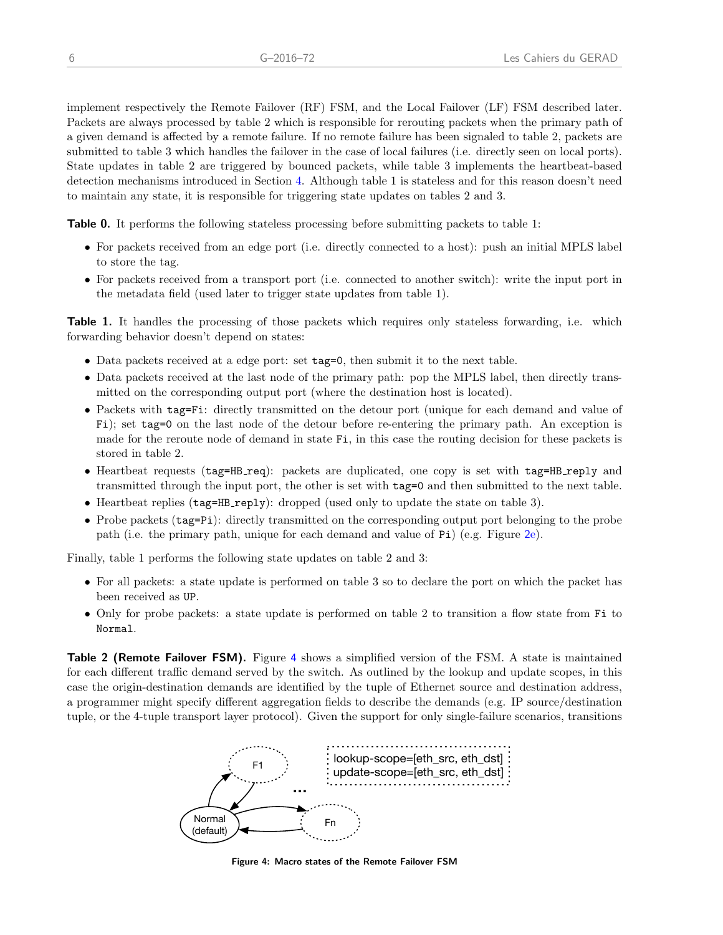implement respectively the Remote Failover (RF) FSM, and the Local Failover (LF) FSM described later. Packets are always processed by table 2 which is responsible for rerouting packets when the primary path of a given demand is affected by a remote failure. If no remote failure has been signaled to table 2, packets are submitted to table 3 which handles the failover in the case of local failures (i.e. directly seen on local ports). State updates in table 2 are triggered by bounced packets, while table 3 implements the heartbeat-based detection mechanisms introduced in Section [4.](#page-6-0) Although table 1 is stateless and for this reason doesn't need to maintain any state, it is responsible for triggering state updates on tables 2 and 3.

**Table 0.** It performs the following stateless processing before submitting packets to table 1:

- For packets received from an edge port (i.e. directly connected to a host): push an initial MPLS label to store the tag.
- For packets received from a transport port (i.e. connected to another switch): write the input port in the metadata field (used later to trigger state updates from table 1).

Table 1. It handles the processing of those packets which requires only stateless forwarding, i.e. which forwarding behavior doesn't depend on states:

- Data packets received at a edge port: set tag=0, then submit it to the next table.
- Data packets received at the last node of the primary path: pop the MPLS label, then directly transmitted on the corresponding output port (where the destination host is located).
- Packets with tag=Fi: directly transmitted on the detour port (unique for each demand and value of Fi); set tag=0 on the last node of the detour before re-entering the primary path. An exception is made for the reroute node of demand in state Fi, in this case the routing decision for these packets is stored in table 2.
- Heartbeat requests (tag=HB\_req): packets are duplicated, one copy is set with tag=HB\_reply and transmitted through the input port, the other is set with tag=0 and then submitted to the next table.
- Heartbeat replies (tag=HB\_reply): dropped (used only to update the state on table 3).
- Probe packets (tag=Pi): directly transmitted on the corresponding output port belonging to the probe path (i.e. the primary path, unique for each demand and value of Pi) (e.g. Figure 2[e\)](#page-0-0).

Finally, table 1 performs the following state updates on table 2 and 3:

- For all packets: a state update is performed on table 3 so to declare the port on which the packet has been received as UP.
- Only for probe packets: a state update is performed on table 2 to transition a flow state from Fi to Normal.

<span id="page-9-0"></span>Table 2 (Remote Failover FSM). Figure [4](#page-9-0) shows a simplified version of the FSM. A state is maintained for each different traffic demand served by the switch. As outlined by the lookup and update scopes, in this case the origin-destination demands are identified by the tuple of Ethernet source and destination address, a programmer might specify different aggregation fields to describe the demands (e.g. IP source/destination tuple, or the 4-tuple transport layer protocol). Given the support for only single-failure scenarios, transitions



Figure 4: Macro states of the Remote Failover FSM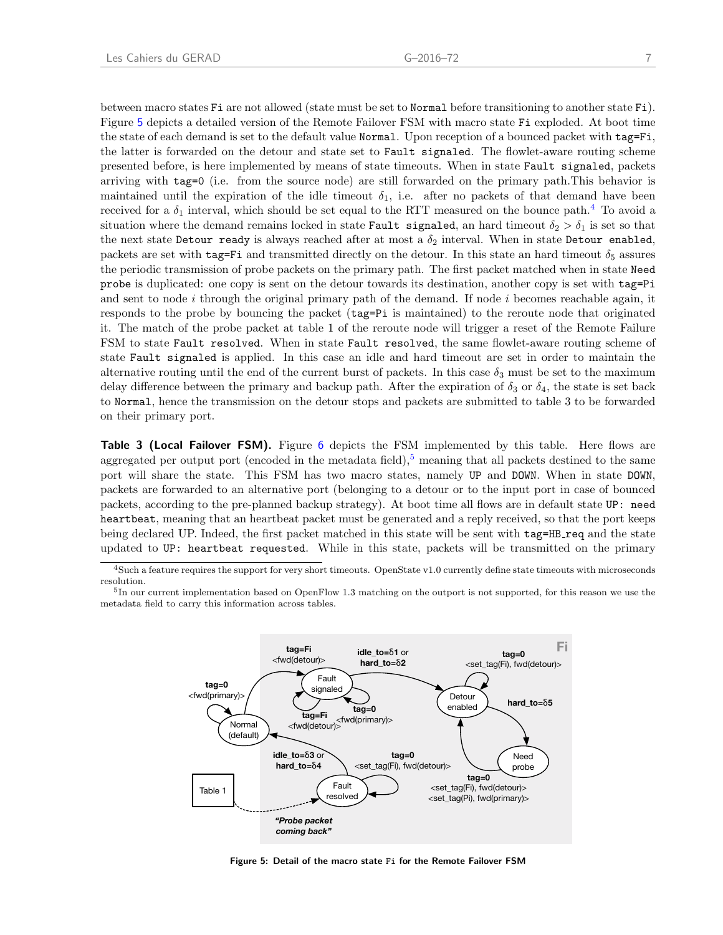between macro states Fi are not allowed (state must be set to Normal before transitioning to another state Fi). Figure [5](#page-10-0) depicts a detailed version of the Remote Failover FSM with macro state Fi exploded. At boot time the state of each demand is set to the default value Normal. Upon reception of a bounced packet with tag=Fi, the latter is forwarded on the detour and state set to Fault signaled. The flowlet-aware routing scheme presented before, is here implemented by means of state timeouts. When in state Fault signaled, packets arriving with tag=0 (i.e. from the source node) are still forwarded on the primary path.This behavior is maintained until the expiration of the idle timeout  $\delta_1$ , i.e. after no packets of that demand have been received for a  $\delta_1$  interval, which should be set equal to the RTT measured on the bounce path.<sup>[4](#page-10-1)</sup> To avoid a situation where the demand remains locked in state Fault signaled, an hard timeout  $\delta_2 > \delta_1$  is set so that the next state Detour ready is always reached after at most a  $\delta_2$  interval. When in state Detour enabled, packets are set with tag=Fi and transmitted directly on the detour. In this state an hard timeout  $\delta_5$  assures the periodic transmission of probe packets on the primary path. The first packet matched when in state Need probe is duplicated: one copy is sent on the detour towards its destination, another copy is set with tag=Pi and sent to node i through the original primary path of the demand. If node i becomes reachable again, it responds to the probe by bouncing the packet (tag=Pi is maintained) to the reroute node that originated it. The match of the probe packet at table 1 of the reroute node will trigger a reset of the Remote Failure FSM to state Fault resolved. When in state Fault resolved, the same flowlet-aware routing scheme of state Fault signaled is applied. In this case an idle and hard timeout are set in order to maintain the alternative routing until the end of the current burst of packets. In this case  $\delta_3$  must be set to the maximum delay difference between the primary and backup path. After the expiration of  $\delta_3$  or  $\delta_4$ , the state is set back to Normal, hence the transmission on the detour stops and packets are submitted to table 3 to be forwarded on their primary port.

**Table 3 (Local Failover FSM).** Figure [6](#page-11-0) depicts the FSM implemented by this table. Here flows are aggregated per output port (encoded in the metadata field),<sup>[5](#page-10-2)</sup> meaning that all packets destined to the same port will share the state. This FSM has two macro states, namely UP and DOWN. When in state DOWN, packets are forwarded to an alternative port (belonging to a detour or to the input port in case of bounced packets, according to the pre-planned backup strategy). At boot time all flows are in default state UP: need heartbeat, meaning that an heartbeat packet must be generated and a reply received, so that the port keeps being declared UP. Indeed, the first packet matched in this state will be sent with tag=HB\_req and the state updated to UP: heartbeat requested. While in this state, packets will be transmitted on the primary

<span id="page-10-2"></span><span id="page-10-0"></span><sup>&</sup>lt;sup>5</sup>In our current implementation based on OpenFlow 1.3 matching on the outport is not supported, for this reason we use the metadata field to carry this information across tables.



Figure 5: Detail of the macro state Fi for the Remote Failover FSM

<span id="page-10-1"></span><sup>4</sup>Such a feature requires the support for very short timeouts. OpenState v1.0 currently define state timeouts with microseconds resolution.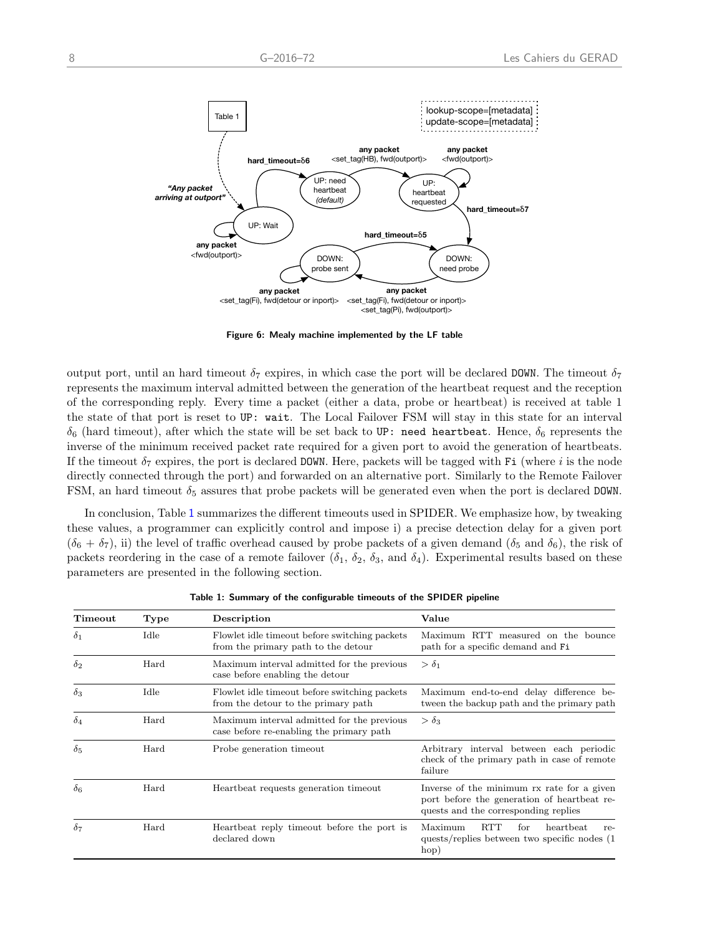<span id="page-11-0"></span>

Figure 6: Mealy machine implemented by the LF table

output port, until an hard timeout  $\delta_7$  expires, in which case the port will be declared DOWN. The timeout  $\delta_7$ represents the maximum interval admitted between the generation of the heartbeat request and the reception of the corresponding reply. Every time a packet (either a data, probe or heartbeat) is received at table 1 the state of that port is reset to UP: wait. The Local Failover FSM will stay in this state for an interval  $\delta_6$  (hard timeout), after which the state will be set back to UP: need heartbeat. Hence,  $\delta_6$  represents the inverse of the minimum received packet rate required for a given port to avoid the generation of heartbeats. If the timeout  $\delta_7$  expires, the port is declared DOWN. Here, packets will be tagged with Fi (where i is the node directly connected through the port) and forwarded on an alternative port. Similarly to the Remote Failover FSM, an hard timeout  $\delta_5$  assures that probe packets will be generated even when the port is declared DOWN.

In conclusion, Table [1](#page-11-1) summarizes the different timeouts used in SPIDER. We emphasize how, by tweaking these values, a programmer can explicitly control and impose i) a precise detection delay for a given port  $(\delta_6 + \delta_7)$ , ii) the level of traffic overhead caused by probe packets of a given demand  $(\delta_5 \text{ and } \delta_6)$ , the risk of packets reordering in the case of a remote failover  $(\delta_1, \delta_2, \delta_3, \text{ and } \delta_4)$ . Experimental results based on these parameters are presented in the following section.

<span id="page-11-1"></span>

| Timeout      | Type | Description                                                                            | Value<br>Maximum RTT measured on the bounce<br>path for a specific demand and Fi                                                  |  |  |
|--------------|------|----------------------------------------------------------------------------------------|-----------------------------------------------------------------------------------------------------------------------------------|--|--|
| $\delta_1$   | Idle | Flowlet idle timeout before switching packets<br>from the primary path to the detour   |                                                                                                                                   |  |  |
| $\delta_2$   | Hard | Maximum interval admitted for the previous<br>case before enabling the detour          | $> \delta_1$                                                                                                                      |  |  |
| $\delta_3$   | Idle | Flowlet idle timeout before switching packets<br>from the detour to the primary path   | Maximum end-to-end delay difference be-<br>tween the backup path and the primary path                                             |  |  |
| $\delta_4$   | Hard | Maximum interval admitted for the previous<br>case before re-enabling the primary path | $> \delta_3$                                                                                                                      |  |  |
| $\delta_{5}$ | Hard | Probe generation timeout                                                               | Arbitrary interval between each periodic<br>check of the primary path in case of remote<br>failure                                |  |  |
| $\delta$ 6   | Hard | Heartbeat requests generation timeout                                                  | Inverse of the minimum rx rate for a given<br>port before the generation of heartbeat re-<br>quests and the corresponding replies |  |  |
| $\delta_7$   | Hard | Heartbeat reply timeout before the port is<br>declared down                            | <b>RTT</b><br>for<br>heartheat<br>Maximum<br>re-<br>quests/replies between two specific nodes (1)<br>hop)                         |  |  |

Table 1: Summary of the configurable timeouts of the SPIDER pipeline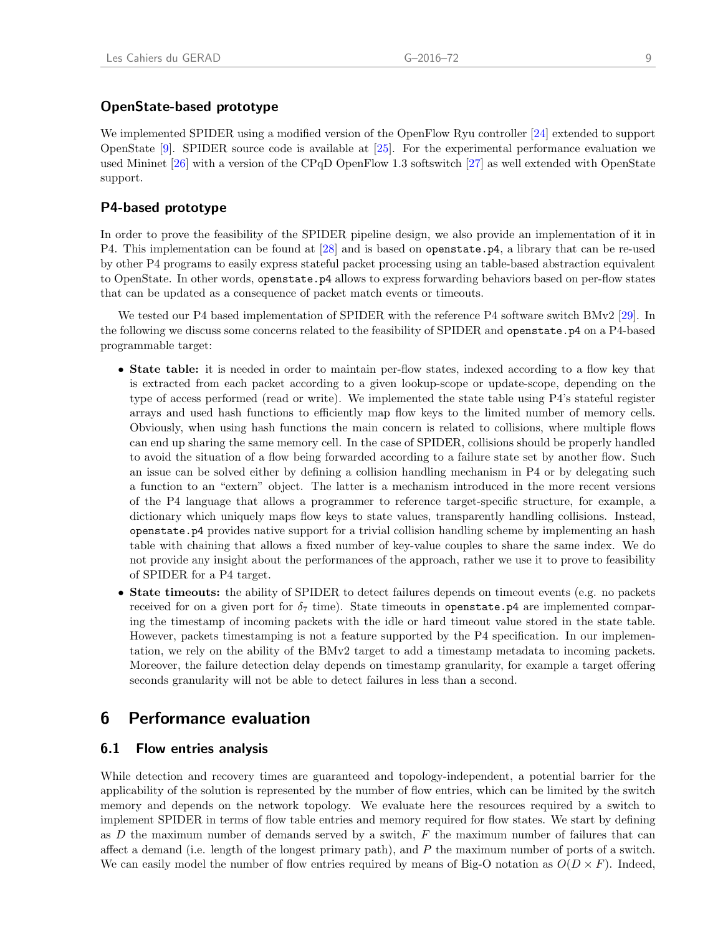#### OpenState-based prototype

We implemented SPIDER using a modified version of the OpenFlow Ryu controller [\[24\]](#page-19-20) extended to support OpenState [\[9\]](#page-19-5). SPIDER source code is available at [\[25\]](#page-19-21). For the experimental performance evaluation we used Mininet [\[26\]](#page-19-22) with a version of the CPqD OpenFlow 1.3 softswitch [\[27\]](#page-19-23) as well extended with OpenState support.

#### P4-based prototype

In order to prove the feasibility of the SPIDER pipeline design, we also provide an implementation of it in P4. This implementation can be found at [\[28\]](#page-19-24) and is based on openstate.p4, a library that can be re-used by other P4 programs to easily express stateful packet processing using an table-based abstraction equivalent to OpenState. In other words, openstate.p4 allows to express forwarding behaviors based on per-flow states that can be updated as a consequence of packet match events or timeouts.

We tested our P4 based implementation of SPIDER with the reference P4 software switch BMv2 [\[29\]](#page-19-25). In the following we discuss some concerns related to the feasibility of SPIDER and openstate.p4 on a P4-based programmable target:

- State table: it is needed in order to maintain per-flow states, indexed according to a flow key that is extracted from each packet according to a given lookup-scope or update-scope, depending on the type of access performed (read or write). We implemented the state table using P4's stateful register arrays and used hash functions to efficiently map flow keys to the limited number of memory cells. Obviously, when using hash functions the main concern is related to collisions, where multiple flows can end up sharing the same memory cell. In the case of SPIDER, collisions should be properly handled to avoid the situation of a flow being forwarded according to a failure state set by another flow. Such an issue can be solved either by defining a collision handling mechanism in P4 or by delegating such a function to an "extern" object. The latter is a mechanism introduced in the more recent versions of the P4 language that allows a programmer to reference target-specific structure, for example, a dictionary which uniquely maps flow keys to state values, transparently handling collisions. Instead, openstate.p4 provides native support for a trivial collision handling scheme by implementing an hash table with chaining that allows a fixed number of key-value couples to share the same index. We do not provide any insight about the performances of the approach, rather we use it to prove to feasibility of SPIDER for a P4 target.
- State timeouts: the ability of SPIDER to detect failures depends on timeout events (e.g. no packets received for on a given port for  $\delta_7$  time). State timeouts in openstate.p4 are implemented comparing the timestamp of incoming packets with the idle or hard timeout value stored in the state table. However, packets timestamping is not a feature supported by the P4 specification. In our implementation, we rely on the ability of the BMv2 target to add a timestamp metadata to incoming packets. Moreover, the failure detection delay depends on timestamp granularity, for example a target offering seconds granularity will not be able to detect failures in less than a second.

### <span id="page-12-0"></span>6 Performance evaluation

#### 6.1 Flow entries analysis

While detection and recovery times are guaranteed and topology-independent, a potential barrier for the applicability of the solution is represented by the number of flow entries, which can be limited by the switch memory and depends on the network topology. We evaluate here the resources required by a switch to implement SPIDER in terms of flow table entries and memory required for flow states. We start by defining as  $D$  the maximum number of demands served by a switch,  $F$  the maximum number of failures that can affect a demand (i.e. length of the longest primary path), and  $P$  the maximum number of ports of a switch. We can easily model the number of flow entries required by means of Big-O notation as  $O(D \times F)$ . Indeed,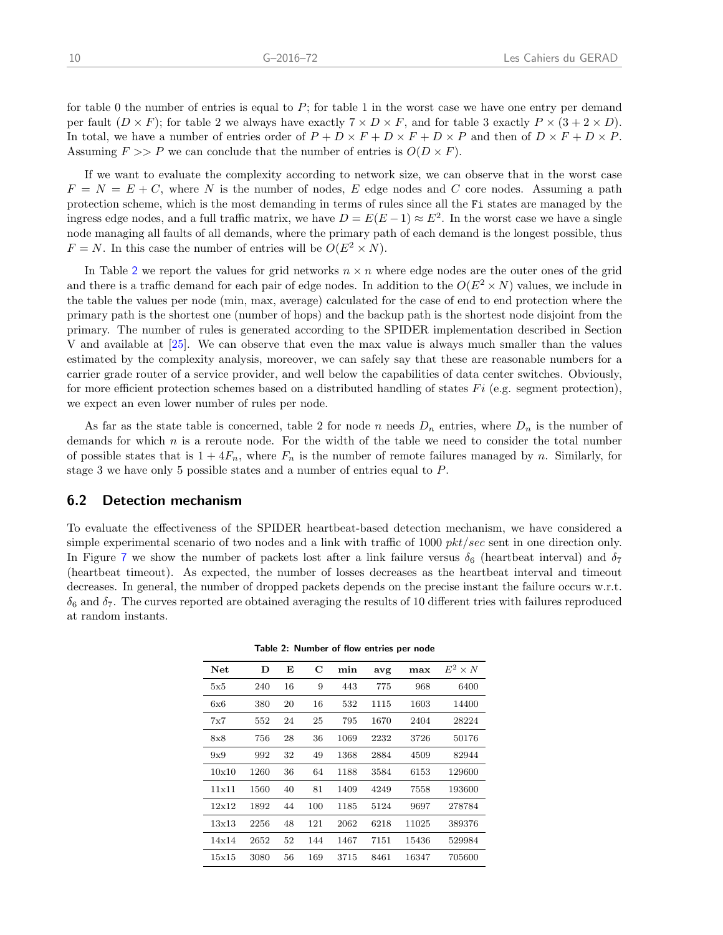for table 0 the number of entries is equal to  $P$ ; for table 1 in the worst case we have one entry per demand per fault  $(D \times F)$ ; for table 2 we always have exactly  $7 \times D \times F$ , and for table 3 exactly  $P \times (3 + 2 \times D)$ . In total, we have a number of entries order of  $P + D \times F + D \times F + D \times P$  and then of  $D \times F + D \times P$ . Assuming  $F >> P$  we can conclude that the number of entries is  $O(D \times F)$ .

If we want to evaluate the complexity according to network size, we can observe that in the worst case  $F = N = E + C$ , where N is the number of nodes, E edge nodes and C core nodes. Assuming a path protection scheme, which is the most demanding in terms of rules since all the Fi states are managed by the ingress edge nodes, and a full traffic matrix, we have  $D = E(E-1) \approx E^2$ . In the worst case we have a single node managing all faults of all demands, where the primary path of each demand is the longest possible, thus  $F = N$ . In this case the number of entries will be  $O(E^2 \times N)$ .

In Table [2](#page-13-0) we report the values for grid networks  $n \times n$  where edge nodes are the outer ones of the grid and there is a traffic demand for each pair of edge nodes. In addition to the  $O(E^2 \times N)$  values, we include in the table the values per node (min, max, average) calculated for the case of end to end protection where the primary path is the shortest one (number of hops) and the backup path is the shortest node disjoint from the primary. The number of rules is generated according to the SPIDER implementation described in Section V and available at [\[25\]](#page-19-21). We can observe that even the max value is always much smaller than the values estimated by the complexity analysis, moreover, we can safely say that these are reasonable numbers for a carrier grade router of a service provider, and well below the capabilities of data center switches. Obviously, for more efficient protection schemes based on a distributed handling of states  $Fi$  (e.g. segment protection), we expect an even lower number of rules per node.

As far as the state table is concerned, table 2 for node n needs  $D_n$  entries, where  $D_n$  is the number of demands for which  $n$  is a reroute node. For the width of the table we need to consider the total number of possible states that is  $1 + 4F_n$ , where  $F_n$  is the number of remote failures managed by n. Similarly, for stage 3 we have only 5 possible states and a number of entries equal to P.

#### 6.2 Detection mechanism

<span id="page-13-0"></span>To evaluate the effectiveness of the SPIDER heartbeat-based detection mechanism, we have considered a simple experimental scenario of two nodes and a link with traffic of 1000 *pkt/sec* sent in one direction only. In Figure [7](#page-14-0) we show the number of packets lost after a link failure versus  $\delta_6$  (heartbeat interval) and  $\delta_7$ (heartbeat timeout). As expected, the number of losses decreases as the heartbeat interval and timeout decreases. In general, the number of dropped packets depends on the precise instant the failure occurs w.r.t.  $\delta_6$  and  $\delta_7$ . The curves reported are obtained averaging the results of 10 different tries with failures reproduced at random instants.

| Net          | D    | Е  | C   | min  | avg  | max   | $E^2 \times N$ |
|--------------|------|----|-----|------|------|-------|----------------|
| 5x5          | 240  | 16 | 9   | 443  | 775  | 968   | 6400           |
| 6x6          | 380  | 20 | 16  | 532  | 1115 | 1603  | 14400          |
| 7x7          | 552  | 24 | 25  | 795  | 1670 | 2404  | 28224          |
| 8x8          | 756  | 28 | 36  | 1069 | 2232 | 3726  | 50176          |
| 9x9          | 992  | 32 | 49  | 1368 | 2884 | 4509  | 82944          |
| $10\times10$ | 1260 | 36 | 64  | 1188 | 3584 | 6153  | 129600         |
| 11x11        | 1560 | 40 | 81  | 1409 | 4249 | 7558  | 193600         |
| 12x12        | 1892 | 44 | 100 | 1185 | 5124 | 9697  | 278784         |
| 13x13        | 2256 | 48 | 121 | 2062 | 6218 | 11025 | 389376         |
| 14x14        | 2652 | 52 | 144 | 1467 | 7151 | 15436 | 529984         |
| 15x15        | 3080 | 56 | 169 | 3715 | 8461 | 16347 | 705600         |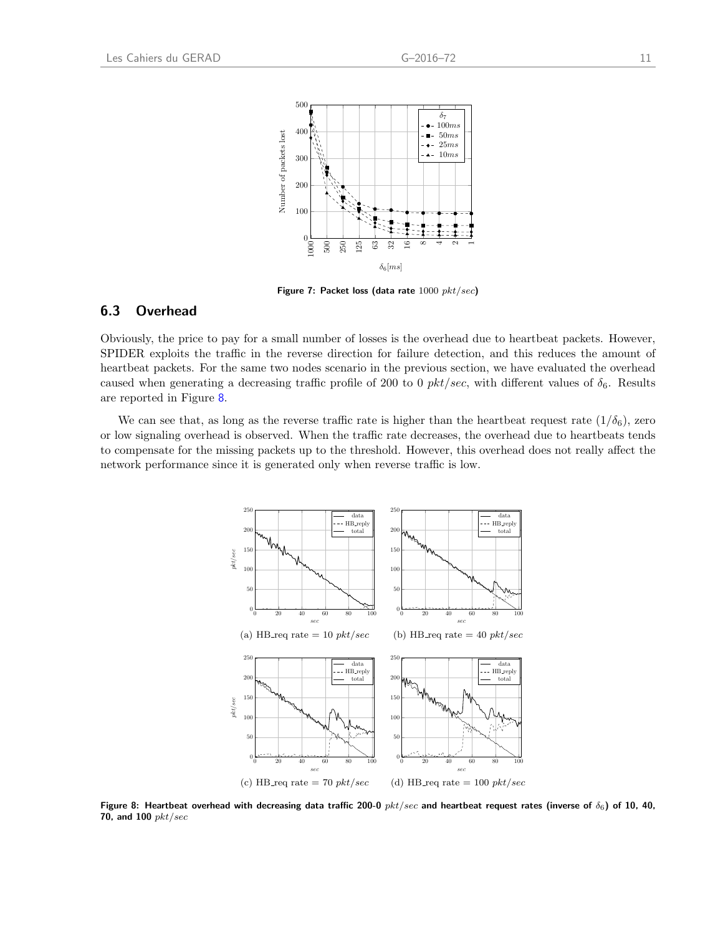<span id="page-14-0"></span>

Figure 7: Packet loss (data rate 1000 pkt/sec)

### 6.3 Overhead

Obviously, the price to pay for a small number of losses is the overhead due to heartbeat packets. However, SPIDER exploits the traffic in the reverse direction for failure detection, and this reduces the amount of heartbeat packets. For the same two nodes scenario in the previous section, we have evaluated the overhead caused when generating a decreasing traffic profile of 200 to 0  $pkt/sec$ , with different values of  $\delta_6$ . Results are reported in Figure [8](#page-14-1).

<span id="page-14-1"></span>We can see that, as long as the reverse traffic rate is higher than the heartbeat request rate  $(1/\delta_6)$ , zero or low signaling overhead is observed. When the traffic rate decreases, the overhead due to heartbeats tends to compensate for the missing packets up to the threshold. However, this overhead does not really affect the network performance since it is generated only when reverse traffic is low.



Figure 8: Heartbeat overhead with decreasing data traffic 200-0  $ptt/sec$  and heartbeat request rates (inverse of  $\delta_6$ ) of 10, 40, 70, and 100  $pkt/sec$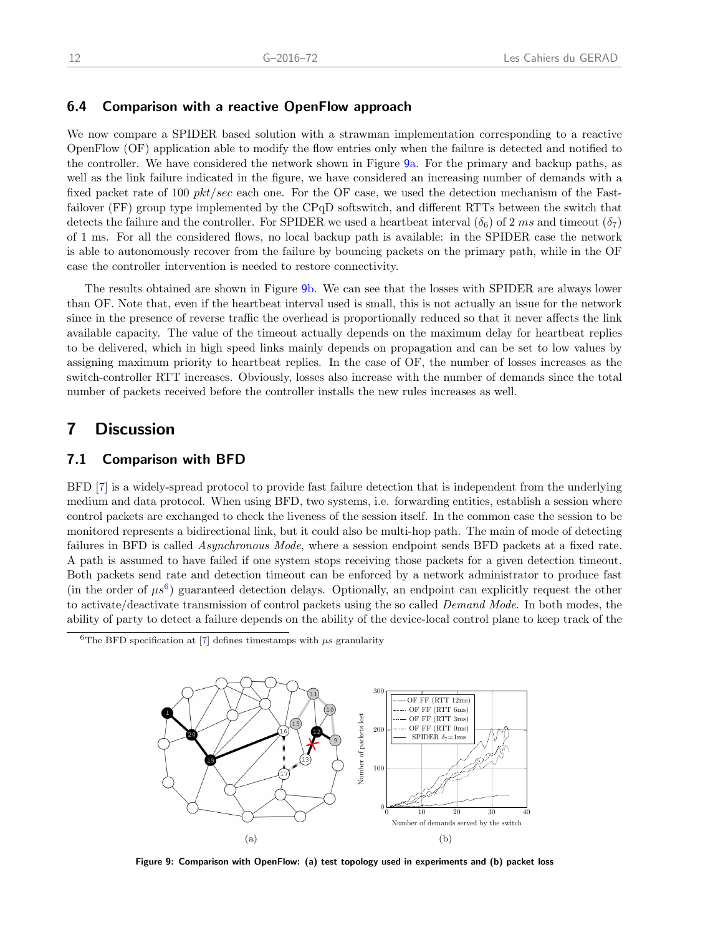#### 6.4 Comparison with a reactive OpenFlow approach

We now compare a SPIDER based solution with a strawman implementation corresponding to a reactive OpenFlow (OF) application able to modify the flow entries only when the failure is detected and notified to the controller. We have considered the network shown in Figure 9[a.](#page-0-0) For the primary and backup paths, as well as the link failure indicated in the figure, we have considered an increasing number of demands with a fixed packet rate of 100  $pkt/sec$  each one. For the OF case, we used the detection mechanism of the Fastfailover (FF) group type implemented by the CPqD softswitch, and different RTTs between the switch that detects the failure and the controller. For SPIDER we used a heartbeat interval  $(\delta_6)$  of 2 ms and timeout  $(\delta_7)$ of 1 ms. For all the considered flows, no local backup path is available: in the SPIDER case the network is able to autonomously recover from the failure by bouncing packets on the primary path, while in the OF case the controller intervention is needed to restore connectivity.

The results obtained are shown in Figure 9[b.](#page-0-0) We can see that the losses with SPIDER are always lower than OF. Note that, even if the heartbeat interval used is small, this is not actually an issue for the network since in the presence of reverse traffic the overhead is proportionally reduced so that it never affects the link available capacity. The value of the timeout actually depends on the maximum delay for heartbeat replies to be delivered, which in high speed links mainly depends on propagation and can be set to low values by assigning maximum priority to heartbeat replies. In the case of OF, the number of losses increases as the switch-controller RTT increases. Obviously, losses also increase with the number of demands since the total number of packets received before the controller installs the new rules increases as well.

### <span id="page-15-0"></span>7 Discussion

#### 7.1 Comparison with BFD

BFD [\[7\]](#page-19-3) is a widely-spread protocol to provide fast failure detection that is independent from the underlying medium and data protocol. When using BFD, two systems, i.e. forwarding entities, establish a session where control packets are exchanged to check the liveness of the session itself. In the common case the session to be monitored represents a bidirectional link, but it could also be multi-hop path. The main of mode of detecting failures in BFD is called Asynchronous Mode, where a session endpoint sends BFD packets at a fixed rate. A path is assumed to have failed if one system stops receiving those packets for a given detection timeout. Both packets send rate and detection timeout can be enforced by a network administrator to produce fast (in the order of  $\mu s^6$  $\mu s^6$ ) guaranteed detection delays. Optionally, an endpoint can explicitly request the other to activate/deactivate transmission of control packets using the so called *Demand Mode*. In both modes, the ability of party to detect a failure depends on the ability of the device-local control plane to keep track of the

<span id="page-15-1"></span><sup>&</sup>lt;sup>6</sup>The BFD specification at [\[7\]](#page-19-3) defines timestamps with  $\mu s$  granularity



Figure 9: Comparison with OpenFlow: (a) test topology used in experiments and (b) packet loss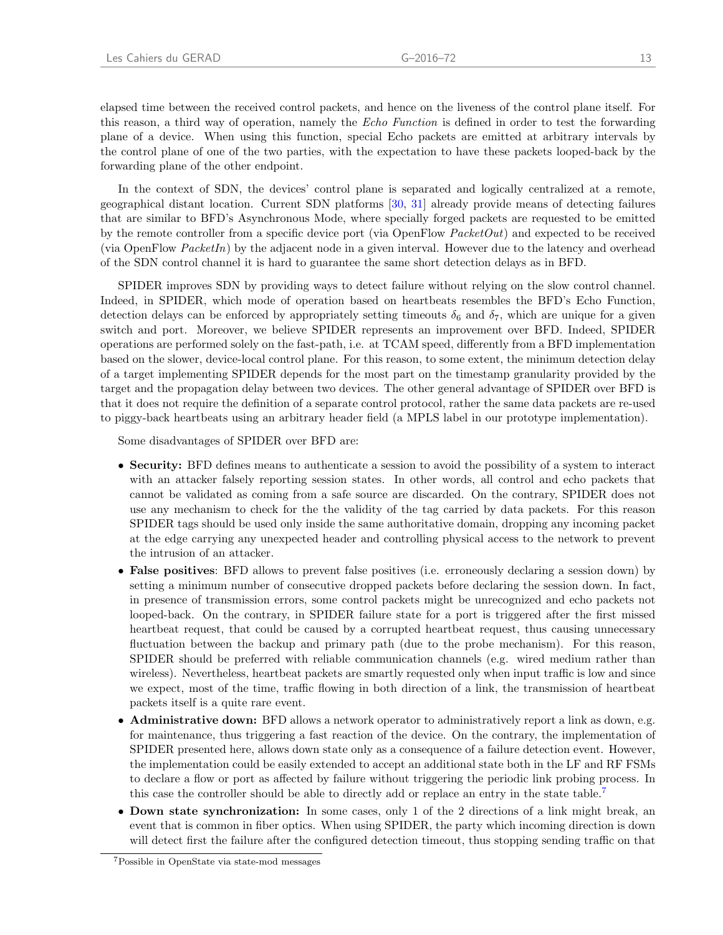elapsed time between the received control packets, and hence on the liveness of the control plane itself. For this reason, a third way of operation, namely the Echo Function is defined in order to test the forwarding plane of a device. When using this function, special Echo packets are emitted at arbitrary intervals by the control plane of one of the two parties, with the expectation to have these packets looped-back by the forwarding plane of the other endpoint.

In the context of SDN, the devices' control plane is separated and logically centralized at a remote, geographical distant location. Current SDN platforms [\[30,](#page-19-26) [31\]](#page-19-27) already provide means of detecting failures that are similar to BFD's Asynchronous Mode, where specially forged packets are requested to be emitted by the remote controller from a specific device port (via OpenFlow  $PacketOut$ ) and expected to be received (via OpenFlow PacketIn) by the adjacent node in a given interval. However due to the latency and overhead of the SDN control channel it is hard to guarantee the same short detection delays as in BFD.

SPIDER improves SDN by providing ways to detect failure without relying on the slow control channel. Indeed, in SPIDER, which mode of operation based on heartbeats resembles the BFD's Echo Function, detection delays can be enforced by appropriately setting timeouts  $\delta_6$  and  $\delta_7$ , which are unique for a given switch and port. Moreover, we believe SPIDER represents an improvement over BFD. Indeed, SPIDER operations are performed solely on the fast-path, i.e. at TCAM speed, differently from a BFD implementation based on the slower, device-local control plane. For this reason, to some extent, the minimum detection delay of a target implementing SPIDER depends for the most part on the timestamp granularity provided by the target and the propagation delay between two devices. The other general advantage of SPIDER over BFD is that it does not require the definition of a separate control protocol, rather the same data packets are re-used to piggy-back heartbeats using an arbitrary header field (a MPLS label in our prototype implementation).

Some disadvantages of SPIDER over BFD are:

- Security: BFD defines means to authenticate a session to avoid the possibility of a system to interact with an attacker falsely reporting session states. In other words, all control and echo packets that cannot be validated as coming from a safe source are discarded. On the contrary, SPIDER does not use any mechanism to check for the the validity of the tag carried by data packets. For this reason SPIDER tags should be used only inside the same authoritative domain, dropping any incoming packet at the edge carrying any unexpected header and controlling physical access to the network to prevent the intrusion of an attacker.
- False positives: BFD allows to prevent false positives (i.e. erroneously declaring a session down) by setting a minimum number of consecutive dropped packets before declaring the session down. In fact, in presence of transmission errors, some control packets might be unrecognized and echo packets not looped-back. On the contrary, in SPIDER failure state for a port is triggered after the first missed heartbeat request, that could be caused by a corrupted heartbeat request, thus causing unnecessary fluctuation between the backup and primary path (due to the probe mechanism). For this reason, SPIDER should be preferred with reliable communication channels (e.g. wired medium rather than wireless). Nevertheless, heartbeat packets are smartly requested only when input traffic is low and since we expect, most of the time, traffic flowing in both direction of a link, the transmission of heartbeat packets itself is a quite rare event.
- **Administrative down:** BFD allows a network operator to administratively report a link as down, e.g. for maintenance, thus triggering a fast reaction of the device. On the contrary, the implementation of SPIDER presented here, allows down state only as a consequence of a failure detection event. However, the implementation could be easily extended to accept an additional state both in the LF and RF FSMs to declare a flow or port as affected by failure without triggering the periodic link probing process. In this case the controller should be able to directly add or replace an entry in the state table.[7](#page-16-0)
- Down state synchronization: In some cases, only 1 of the 2 directions of a link might break, an event that is common in fiber optics. When using SPIDER, the party which incoming direction is down will detect first the failure after the configured detection timeout, thus stopping sending traffic on that

<span id="page-16-0"></span><sup>7</sup>Possible in OpenState via state-mod messages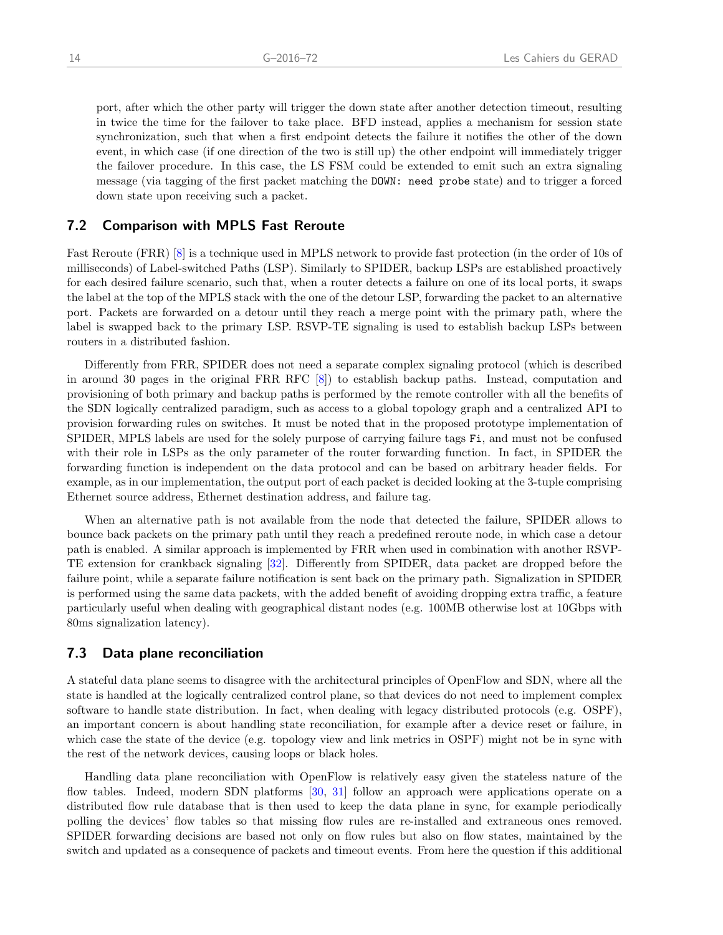port, after which the other party will trigger the down state after another detection timeout, resulting in twice the time for the failover to take place. BFD instead, applies a mechanism for session state synchronization, such that when a first endpoint detects the failure it notifies the other of the down event, in which case (if one direction of the two is still up) the other endpoint will immediately trigger the failover procedure. In this case, the LS FSM could be extended to emit such an extra signaling message (via tagging of the first packet matching the DOWN: need probe state) and to trigger a forced down state upon receiving such a packet.

#### 7.2 Comparison with MPLS Fast Reroute

Fast Reroute (FRR) [\[8\]](#page-19-4) is a technique used in MPLS network to provide fast protection (in the order of 10s of milliseconds) of Label-switched Paths (LSP). Similarly to SPIDER, backup LSPs are established proactively for each desired failure scenario, such that, when a router detects a failure on one of its local ports, it swaps the label at the top of the MPLS stack with the one of the detour LSP, forwarding the packet to an alternative port. Packets are forwarded on a detour until they reach a merge point with the primary path, where the label is swapped back to the primary LSP. RSVP-TE signaling is used to establish backup LSPs between routers in a distributed fashion.

Differently from FRR, SPIDER does not need a separate complex signaling protocol (which is described in around 30 pages in the original FRR RFC [\[8\]](#page-19-4)) to establish backup paths. Instead, computation and provisioning of both primary and backup paths is performed by the remote controller with all the benefits of the SDN logically centralized paradigm, such as access to a global topology graph and a centralized API to provision forwarding rules on switches. It must be noted that in the proposed prototype implementation of SPIDER, MPLS labels are used for the solely purpose of carrying failure tags Fi, and must not be confused with their role in LSPs as the only parameter of the router forwarding function. In fact, in SPIDER the forwarding function is independent on the data protocol and can be based on arbitrary header fields. For example, as in our implementation, the output port of each packet is decided looking at the 3-tuple comprising Ethernet source address, Ethernet destination address, and failure tag.

When an alternative path is not available from the node that detected the failure, SPIDER allows to bounce back packets on the primary path until they reach a predefined reroute node, in which case a detour path is enabled. A similar approach is implemented by FRR when used in combination with another RSVP-TE extension for crankback signaling [\[32\]](#page-20-1). Differently from SPIDER, data packet are dropped before the failure point, while a separate failure notification is sent back on the primary path. Signalization in SPIDER is performed using the same data packets, with the added benefit of avoiding dropping extra traffic, a feature particularly useful when dealing with geographical distant nodes (e.g. 100MB otherwise lost at 10Gbps with 80ms signalization latency).

#### 7.3 Data plane reconciliation

A stateful data plane seems to disagree with the architectural principles of OpenFlow and SDN, where all the state is handled at the logically centralized control plane, so that devices do not need to implement complex software to handle state distribution. In fact, when dealing with legacy distributed protocols (e.g. OSPF), an important concern is about handling state reconciliation, for example after a device reset or failure, in which case the state of the device (e.g. topology view and link metrics in OSPF) might not be in sync with the rest of the network devices, causing loops or black holes.

Handling data plane reconciliation with OpenFlow is relatively easy given the stateless nature of the flow tables. Indeed, modern SDN platforms [\[30,](#page-19-26) [31\]](#page-19-27) follow an approach were applications operate on a distributed flow rule database that is then used to keep the data plane in sync, for example periodically polling the devices' flow tables so that missing flow rules are re-installed and extraneous ones removed. SPIDER forwarding decisions are based not only on flow rules but also on flow states, maintained by the switch and updated as a consequence of packets and timeout events. From here the question if this additional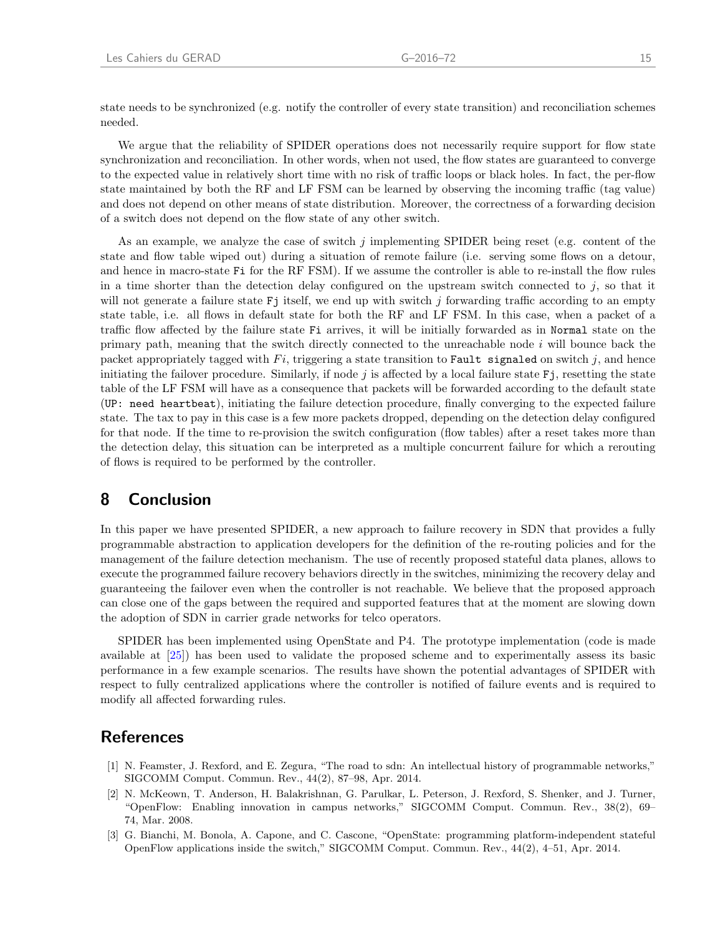state needs to be synchronized (e.g. notify the controller of every state transition) and reconciliation schemes needed.

We argue that the reliability of SPIDER operations does not necessarily require support for flow state synchronization and reconciliation. In other words, when not used, the flow states are guaranteed to converge to the expected value in relatively short time with no risk of traffic loops or black holes. In fact, the per-flow state maintained by both the RF and LF FSM can be learned by observing the incoming traffic (tag value) and does not depend on other means of state distribution. Moreover, the correctness of a forwarding decision of a switch does not depend on the flow state of any other switch.

As an example, we analyze the case of switch  $j$  implementing SPIDER being reset (e.g. content of the state and flow table wiped out) during a situation of remote failure (i.e. serving some flows on a detour, and hence in macro-state Fi for the RF FSM). If we assume the controller is able to re-install the flow rules in a time shorter than the detection delay configured on the upstream switch connected to  $j$ , so that it will not generate a failure state  $Fj$  itself, we end up with switch j forwarding traffic according to an empty state table, i.e. all flows in default state for both the RF and LF FSM. In this case, when a packet of a traffic flow affected by the failure state Fi arrives, it will be initially forwarded as in Normal state on the primary path, meaning that the switch directly connected to the unreachable node  $i$  will bounce back the packet appropriately tagged with  $Fi$ , triggering a state transition to Fault signaled on switch j, and hence initiating the failover procedure. Similarly, if node j is affected by a local failure state  $\mathbf{F}$ j, resetting the state table of the LF FSM will have as a consequence that packets will be forwarded according to the default state (UP: need heartbeat), initiating the failure detection procedure, finally converging to the expected failure state. The tax to pay in this case is a few more packets dropped, depending on the detection delay configured for that node. If the time to re-provision the switch configuration (flow tables) after a reset takes more than the detection delay, this situation can be interpreted as a multiple concurrent failure for which a rerouting of flows is required to be performed by the controller.

## <span id="page-18-3"></span>8 Conclusion

In this paper we have presented SPIDER, a new approach to failure recovery in SDN that provides a fully programmable abstraction to application developers for the definition of the re-routing policies and for the management of the failure detection mechanism. The use of recently proposed stateful data planes, allows to execute the programmed failure recovery behaviors directly in the switches, minimizing the recovery delay and guaranteeing the failover even when the controller is not reachable. We believe that the proposed approach can close one of the gaps between the required and supported features that at the moment are slowing down the adoption of SDN in carrier grade networks for telco operators.

SPIDER has been implemented using OpenState and P4. The prototype implementation (code is made available at [\[25\]](#page-19-21)) has been used to validate the proposed scheme and to experimentally assess its basic performance in a few example scenarios. The results have shown the potential advantages of SPIDER with respect to fully centralized applications where the controller is notified of failure events and is required to modify all affected forwarding rules.

### **References**

- <span id="page-18-0"></span>[1] N. Feamster, J. Rexford, and E. Zegura, "The road to sdn: An intellectual history of programmable networks," SIGCOMM Comput. Commun. Rev., 44(2), 87–98, Apr. 2014.
- <span id="page-18-1"></span>[2] N. McKeown, T. Anderson, H. Balakrishnan, G. Parulkar, L. Peterson, J. Rexford, S. Shenker, and J. Turner, "OpenFlow: Enabling innovation in campus networks," SIGCOMM Comput. Commun. Rev., 38(2), 69– 74, Mar. 2008.
- <span id="page-18-2"></span>[3] G. Bianchi, M. Bonola, A. Capone, and C. Cascone, "OpenState: programming platform-independent stateful OpenFlow applications inside the switch," SIGCOMM Comput. Commun. Rev., 44(2), 4–51, Apr. 2014.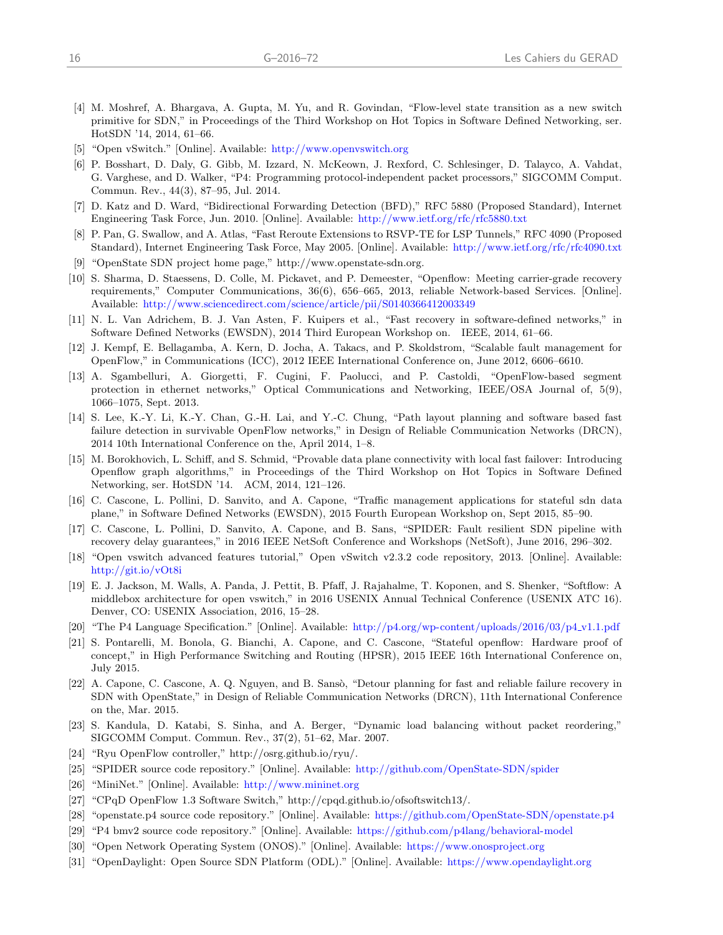- <span id="page-19-0"></span>[4] M. Moshref, A. Bhargava, A. Gupta, M. Yu, and R. Govindan, "Flow-level state transition as a new switch primitive for SDN," in Proceedings of the Third Workshop on Hot Topics in Software Defined Networking, ser. HotSDN '14, 2014, 61–66.
- <span id="page-19-1"></span>[5] "Open vSwitch." [Online]. Available: <http://www.openvswitch.org>
- <span id="page-19-2"></span>[6] P. Bosshart, D. Daly, G. Gibb, M. Izzard, N. McKeown, J. Rexford, C. Schlesinger, D. Talayco, A. Vahdat, G. Varghese, and D. Walker, "P4: Programming protocol-independent packet processors," SIGCOMM Comput. Commun. Rev., 44(3), 87–95, Jul. 2014.
- <span id="page-19-3"></span>[7] D. Katz and D. Ward, "Bidirectional Forwarding Detection (BFD)," RFC 5880 (Proposed Standard), Internet Engineering Task Force, Jun. 2010. [Online]. Available: <http://www.ietf.org/rfc/rfc5880.txt>
- <span id="page-19-4"></span>[8] P. Pan, G. Swallow, and A. Atlas, "Fast Reroute Extensions to RSVP-TE for LSP Tunnels," RFC 4090 (Proposed Standard), Internet Engineering Task Force, May 2005. [Online]. Available: <http://www.ietf.org/rfc/rfc4090.txt>
- <span id="page-19-5"></span>[9] "OpenState SDN project home page," http://www.openstate-sdn.org.
- <span id="page-19-6"></span>[10] S. Sharma, D. Staessens, D. Colle, M. Pickavet, and P. Demeester, "Openflow: Meeting carrier-grade recovery requirements," Computer Communications, 36(6), 656–665, 2013, reliable Network-based Services. [Online]. Available: <http://www.sciencedirect.com/science/article/pii/S0140366412003349>
- <span id="page-19-7"></span>[11] N. L. Van Adrichem, B. J. Van Asten, F. Kuipers et al., "Fast recovery in software-defined networks," in Software Defined Networks (EWSDN), 2014 Third European Workshop on. IEEE, 2014, 61–66.
- <span id="page-19-8"></span>[12] J. Kempf, E. Bellagamba, A. Kern, D. Jocha, A. Takacs, and P. Skoldstrom, "Scalable fault management for OpenFlow," in Communications (ICC), 2012 IEEE International Conference on, June 2012, 6606–6610.
- <span id="page-19-9"></span>[13] A. Sgambelluri, A. Giorgetti, F. Cugini, F. Paolucci, and P. Castoldi, "OpenFlow-based segment protection in ethernet networks," Optical Communications and Networking, IEEE/OSA Journal of, 5(9), 1066–1075, Sept. 2013.
- <span id="page-19-10"></span>[14] S. Lee, K.-Y. Li, K.-Y. Chan, G.-H. Lai, and Y.-C. Chung, "Path layout planning and software based fast failure detection in survivable OpenFlow networks," in Design of Reliable Communication Networks (DRCN), 2014 10th International Conference on the, April 2014, 1–8.
- <span id="page-19-11"></span>[15] M. Borokhovich, L. Schiff, and S. Schmid, "Provable data plane connectivity with local fast failover: Introducing Openflow graph algorithms," in Proceedings of the Third Workshop on Hot Topics in Software Defined Networking, ser. HotSDN '14. ACM, 2014, 121–126.
- <span id="page-19-12"></span>[16] C. Cascone, L. Pollini, D. Sanvito, and A. Capone, "Traffic management applications for stateful sdn data plane," in Software Defined Networks (EWSDN), 2015 Fourth European Workshop on, Sept 2015, 85–90.
- <span id="page-19-13"></span>[17] C. Cascone, L. Pollini, D. Sanvito, A. Capone, and B. Sans, "SPIDER: Fault resilient SDN pipeline with recovery delay guarantees," in 2016 IEEE NetSoft Conference and Workshops (NetSoft), June 2016, 296–302.
- <span id="page-19-15"></span>[18] "Open vswitch advanced features tutorial," Open vSwitch v2.3.2 code repository, 2013. [Online]. Available: <http://git.io/vOt8i>
- <span id="page-19-14"></span>[19] E. J. Jackson, M. Walls, A. Panda, J. Pettit, B. Pfaff, J. Rajahalme, T. Koponen, and S. Shenker, "Softflow: A middlebox architecture for open vswitch," in 2016 USENIX Annual Technical Conference (USENIX ATC 16). Denver, CO: USENIX Association, 2016, 15–28.
- <span id="page-19-16"></span>[20] "The P4 Language Specification." [Online]. Available: [http://p4.org/wp-content/uploads/2016/03/p4](http://p4.org/wp-content/uploads/2016/03/p4_v1.1.pdf) v1.1.pdf
- <span id="page-19-17"></span>[21] S. Pontarelli, M. Bonola, G. Bianchi, A. Capone, and C. Cascone, "Stateful openflow: Hardware proof of concept," in High Performance Switching and Routing (HPSR), 2015 IEEE 16th International Conference on, July 2015.
- <span id="page-19-18"></span>[22] A. Capone, C. Cascone, A. Q. Nguyen, and B. Sansò, "Detour planning for fast and reliable failure recovery in SDN with OpenState," in Design of Reliable Communication Networks (DRCN), 11th International Conference on the, Mar. 2015.
- <span id="page-19-19"></span>[23] S. Kandula, D. Katabi, S. Sinha, and A. Berger, "Dynamic load balancing without packet reordering," SIGCOMM Comput. Commun. Rev., 37(2), 51–62, Mar. 2007.
- <span id="page-19-20"></span>[24] "Ryu OpenFlow controller," http://osrg.github.io/ryu/.
- <span id="page-19-21"></span>[25] "SPIDER source code repository." [Online]. Available: <http://github.com/OpenState-SDN/spider>
- <span id="page-19-22"></span>[26] "MiniNet." [Online]. Available: <http://www.mininet.org>
- <span id="page-19-23"></span>[27] "CPqD OpenFlow 1.3 Software Switch," http://cpqd.github.io/ofsoftswitch13/.
- <span id="page-19-24"></span>[28] "openstate.p4 source code repository." [Online]. Available: <https://github.com/OpenState-SDN/openstate.p4>
- <span id="page-19-25"></span>[29] "P4 bmv2 source code repository." [Online]. Available: <https://github.com/p4lang/behavioral-model>
- <span id="page-19-26"></span>[30] "Open Network Operating System (ONOS)." [Online]. Available: <https://www.onosproject.org>
- <span id="page-19-27"></span>[31] "OpenDaylight: Open Source SDN Platform (ODL)." [Online]. Available: <https://www.opendaylight.org>